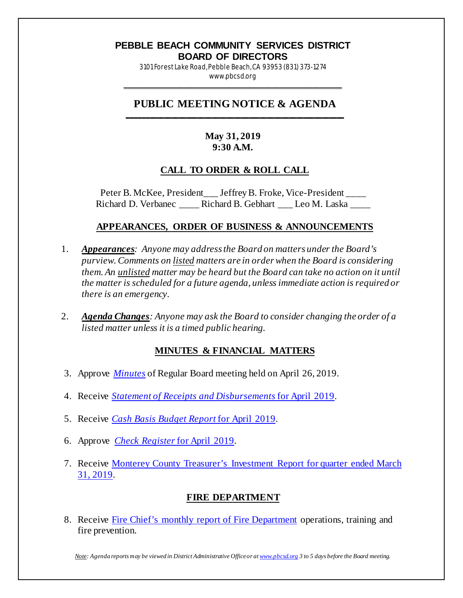#### **PEBBLE BEACH COMMUNITY SERVICES DISTRICT BOARD OF DIRECTORS**

3101 Forest Lake Road, Pebble Beach, CA 93953 (831) 373-1274 www.pbcsd.org

\_\_\_\_\_\_\_\_\_\_\_\_\_\_\_\_\_\_\_\_\_\_\_\_\_\_\_\_\_\_\_\_\_\_\_\_\_\_\_\_\_\_\_\_\_\_\_\_\_\_\_\_\_\_\_\_\_\_\_

#### **PUBLIC MEETING NOTICE & AGENDA \_\_\_\_\_\_\_\_\_\_\_\_\_\_\_\_\_\_\_\_\_\_\_\_\_\_\_\_\_\_\_\_\_\_\_\_\_\_\_\_\_\_\_\_\_\_\_\_\_\_\_\_\_\_\_\_\_\_\_**

## **May 31, 2019 9:30 A.M.**

### **CALL TO ORDER & ROLL CALL**

Peter B. McKee, President\_\_\_ Jeffrey B. Froke, Vice-President \_\_\_\_ Richard D. Verbanec **Richard B. Gebhart** Leo M. Laska

#### **APPEARANCES, ORDER OF BUSINESS & ANNOUNCEMENTS**

- 1. *Appearances: Anyone may address the Board on matters under the Board's purview. Comments on listed matters are in order when the Board is considering them. An unlisted matter may be heard but the Board can take no action on it until the matter is scheduled for a future agenda, unless immediate action is required or there is an emergency.*
- 2. *Agenda Changes: Anyone may ask the Board to consider changing the order of a listed matter unless it is a timed public hearing.*

### **MINUTES & FINANCIAL MATTERS**

- 3. Approve *[Minutes](http://pbcsd.org/wp-content/uploads/pbcsd/meetings/board/2019/2019-05-31/03-19-0426-PBCSD-draft-minutes.pdf)* of Regular Board meeting held on April 26, 2019.
- 4. Receive *[Statement of Receipts and Disbursements](http://pbcsd.org/wp-content/uploads/pbcsd/meetings/board/2019/2019-05-31/04-Statement-of-Receipts-and-Disbursements-for-April-2019.pdf)* for April 2019.
- 5. Receive *[Cash Basis Budget Report](http://pbcsd.org/wp-content/uploads/pbcsd/meetings/board/2019/2019-05-31/05-Cash-Basis-Budget-Report-for-April-2019.pdf)* for April 2019.
- 6. Approve *[Check Register](http://pbcsd.org/wp-content/uploads/pbcsd/meetings/board/2019/2019-05-31/06-Check-Register-for-April-2019.pdf)* for April 2019.
- 7. Receive [Monterey County Treasurer's Investment Report for quarter ended March](http://pbcsd.org/wp-content/uploads/pbcsd/meetings/board/2019/2019-05-31/07-Monterey-County-Treasurers-Investment-Report-for-Quarter-ended-March-31-2019.pdf)  [31, 2019.](http://pbcsd.org/wp-content/uploads/pbcsd/meetings/board/2019/2019-05-31/07-Monterey-County-Treasurers-Investment-Report-for-Quarter-ended-March-31-2019.pdf)

### **FIRE DEPARTMENT**

8. Receive [Fire Chief's monthly report of Fire Department](http://pbcsd.org/wp-content/uploads/pbcsd/meetings/board/2019/2019-05-31/08-Fire-Chiefs-Monthly-Report-for-Fire-Department-April-15-to-May14-2019.pdf) operations, training and fire prevention.

*Note: Agenda reports may be viewed in District Administrative Office or a[t www.pbcsd.org](http://www.pbcsd.org/) 3 to 5 days before the Board meeting.*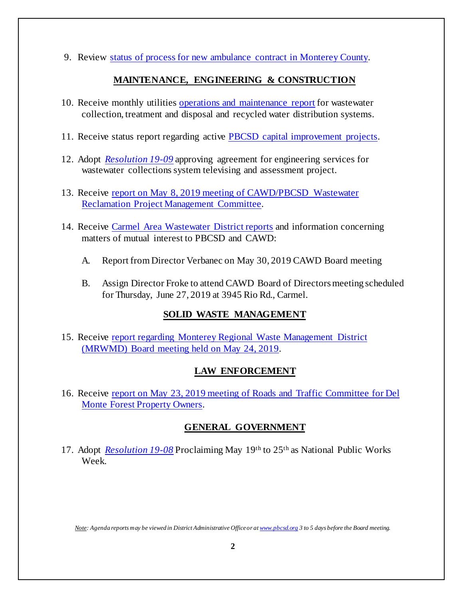9. Review [status of process for new ambulance contract in Monterey County.](http://pbcsd.org/wp-content/uploads/pbcsd/meetings/board/2019/2019-05-31/09-Status-of-Process-for-New-Ambulance-Contract-in-Monterey-County.pdf)

## **MAINTENANCE, ENGINEERING & CONSTRUCTION**

- 10. Receive monthly utilities [operations and maintenance report](http://pbcsd.org/wp-content/uploads/pbcsd/meetings/board/2019/2019-05-31/10-Operations-Maintenance-Board-Report-May-2019.pdf) for wastewater collection, treatment and disposal and recycled water distribution systems.
- 11. Receive status report regarding active [PBCSD capital improvement projects.](http://pbcsd.org/wp-content/uploads/pbcsd/meetings/board/2019/2019-05-31/11-Capital-Improvement-Projects-Report.pdf)
- 12. Adopt *[Resolution 19-09](http://pbcsd.org/wp-content/uploads/pbcsd/meetings/board/2019/2019-05-31/12-RES-19-09-Agreement-for-Engineering-Services-for-Wastewater-Collections-System-Televising-and-Assessment-Project.pdf)* approving agreement for engineering services for wastewater collections system televising and assessment project.
- 13. Receive report on May 8, 2019 meeting [of CAWD/PBCSD Wastewater](http://pbcsd.org/wp-content/uploads/pbcsd/meetings/board/2019/2019-05-31/13-Reclamation-Management-Committee-Report.pdf)  [Reclamation Project Management Committee.](http://pbcsd.org/wp-content/uploads/pbcsd/meetings/board/2019/2019-05-31/13-Reclamation-Management-Committee-Report.pdf)
- 14. Receive [Carmel Area Wastewater District reports](http://pbcsd.org/wp-content/uploads/pbcsd/meetings/board/2019/2019-05-31/14-CAWD-Board-Meeting-Agenda-Reports.pdf) and information concerning matters of mutual interest to PBCSD and CAWD:
	- A. Report from Director Verbanec on May 30, 2019 CAWD Board meeting
	- B. Assign Director Froke to attend CAWD Board of Directors meeting scheduled for Thursday, June 27, 2019 at 3945 Rio Rd., Carmel.

# **SOLID WASTE MANAGEMENT**

15. Receive [report regarding Monterey Regional Waste Management District](http://pbcsd.org/wp-content/uploads/pbcsd/meetings/board/2019/2019-05-31/15-MRWMD-Board-Meeting-Agenda-GM-Report.pdf)  [\(MRWMD\) Board meeting held on May](http://pbcsd.org/wp-content/uploads/pbcsd/meetings/board/2019/2019-05-31/15-MRWMD-Board-Meeting-Agenda-GM-Report.pdf) 24, 2019.

# **LAW ENFORCEMENT**

16. Receive [report on May 23, 2019 meeting of Roads and Traffic Committee for Del](http://pbcsd.org/wp-content/uploads/pbcsd/meetings/board/2019/2019-05-31/16-Roads-Traffic-Committee-Meeting-on-May-23-2019-Report-for-DMFPO.pdf)  [Monte Forest Property Owners.](http://pbcsd.org/wp-content/uploads/pbcsd/meetings/board/2019/2019-05-31/16-Roads-Traffic-Committee-Meeting-on-May-23-2019-Report-for-DMFPO.pdf)

# **GENERAL GOVERNMENT**

17. Adopt *[Resolution 19-08](http://pbcsd.org/wp-content/uploads/pbcsd/meetings/board/2019/2019-05-31/17-RES-19-08-National-Public-Works-Week-Proclamation.pdf)* Proclaiming May 19th to 25th as National Public Works Week.

*Note: Agenda reports may be viewed in District Administrative Office or a[t www.pbcsd.org](http://www.pbcsd.org/) 3 to 5 days before the Board meeting.*